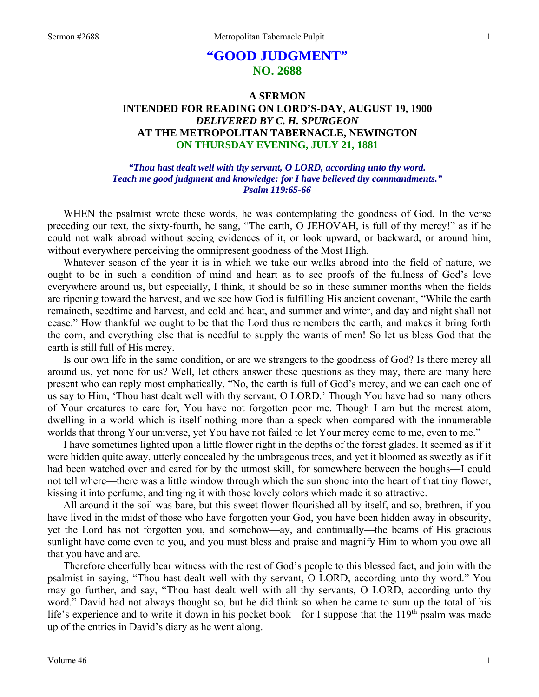# **"GOOD JUDGMENT" NO. 2688**

# **A SERMON INTENDED FOR READING ON LORD'S-DAY, AUGUST 19, 1900**  *DELIVERED BY C. H. SPURGEON*  **AT THE METROPOLITAN TABERNACLE, NEWINGTON ON THURSDAY EVENING, JULY 21, 1881**

# *"Thou hast dealt well with thy servant, O LORD, according unto thy word. Teach me good judgment and knowledge: for I have believed thy commandments." Psalm 119:65-66*

WHEN the psalmist wrote these words, he was contemplating the goodness of God. In the verse preceding our text, the sixty-fourth, he sang, "The earth, O JEHOVAH, is full of thy mercy!" as if he could not walk abroad without seeing evidences of it, or look upward, or backward, or around him, without everywhere perceiving the omnipresent goodness of the Most High.

Whatever season of the year it is in which we take our walks abroad into the field of nature, we ought to be in such a condition of mind and heart as to see proofs of the fullness of God's love everywhere around us, but especially, I think, it should be so in these summer months when the fields are ripening toward the harvest, and we see how God is fulfilling His ancient covenant, "While the earth remaineth, seedtime and harvest, and cold and heat, and summer and winter, and day and night shall not cease." How thankful we ought to be that the Lord thus remembers the earth, and makes it bring forth the corn, and everything else that is needful to supply the wants of men! So let us bless God that the earth is still full of His mercy.

Is our own life in the same condition, or are we strangers to the goodness of God? Is there mercy all around us, yet none for us? Well, let others answer these questions as they may, there are many here present who can reply most emphatically, "No, the earth is full of God's mercy, and we can each one of us say to Him, 'Thou hast dealt well with thy servant, O LORD.' Though You have had so many others of Your creatures to care for, You have not forgotten poor me. Though I am but the merest atom, dwelling in a world which is itself nothing more than a speck when compared with the innumerable worlds that throng Your universe, yet You have not failed to let Your mercy come to me, even to me."

I have sometimes lighted upon a little flower right in the depths of the forest glades. It seemed as if it were hidden quite away, utterly concealed by the umbrageous trees, and yet it bloomed as sweetly as if it had been watched over and cared for by the utmost skill, for somewhere between the boughs—I could not tell where—there was a little window through which the sun shone into the heart of that tiny flower, kissing it into perfume, and tinging it with those lovely colors which made it so attractive.

All around it the soil was bare, but this sweet flower flourished all by itself, and so, brethren, if you have lived in the midst of those who have forgotten your God, you have been hidden away in obscurity, yet the Lord has not forgotten you, and somehow—ay, and continually—the beams of His gracious sunlight have come even to you, and you must bless and praise and magnify Him to whom you owe all that you have and are.

Therefore cheerfully bear witness with the rest of God's people to this blessed fact, and join with the psalmist in saying, "Thou hast dealt well with thy servant, O LORD, according unto thy word." You may go further, and say, "Thou hast dealt well with all thy servants, O LORD, according unto thy word." David had not always thought so, but he did think so when he came to sum up the total of his life's experience and to write it down in his pocket book—for I suppose that the 119<sup>th</sup> psalm was made up of the entries in David's diary as he went along.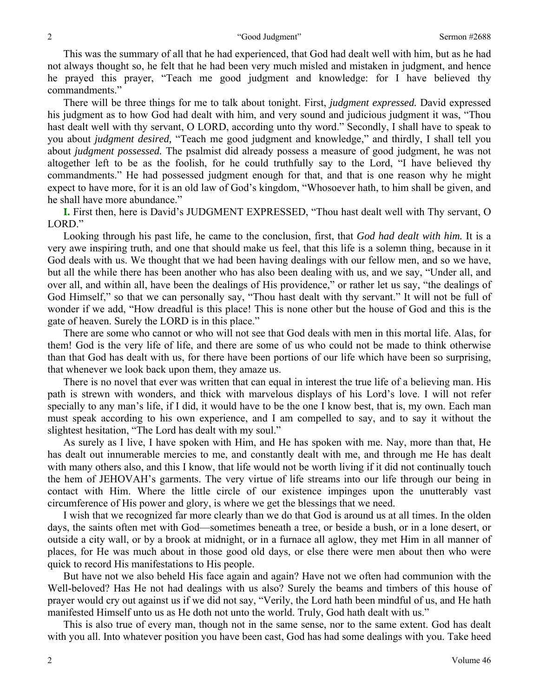This was the summary of all that he had experienced, that God had dealt well with him, but as he had not always thought so, he felt that he had been very much misled and mistaken in judgment, and hence he prayed this prayer, "Teach me good judgment and knowledge: for I have believed thy commandments."

There will be three things for me to talk about tonight. First, *judgment expressed.* David expressed his judgment as to how God had dealt with him, and very sound and judicious judgment it was, "Thou hast dealt well with thy servant, O LORD, according unto thy word." Secondly, I shall have to speak to you about *judgment desired,* "Teach me good judgment and knowledge," and thirdly, I shall tell you about *judgment possessed.* The psalmist did already possess a measure of good judgment, he was not altogether left to be as the foolish, for he could truthfully say to the Lord, "I have believed thy commandments." He had possessed judgment enough for that, and that is one reason why he might expect to have more, for it is an old law of God's kingdom, "Whosoever hath, to him shall be given, and he shall have more abundance."

**I.** First then, here is David's JUDGMENT EXPRESSED, "Thou hast dealt well with Thy servant, O LORD."

Looking through his past life, he came to the conclusion, first, that *God had dealt with him.* It is a very awe inspiring truth, and one that should make us feel, that this life is a solemn thing, because in it God deals with us. We thought that we had been having dealings with our fellow men, and so we have, but all the while there has been another who has also been dealing with us, and we say, "Under all, and over all, and within all, have been the dealings of His providence," or rather let us say, "the dealings of God Himself," so that we can personally say, "Thou hast dealt with thy servant." It will not be full of wonder if we add, "How dreadful is this place! This is none other but the house of God and this is the gate of heaven. Surely the LORD is in this place."

There are some who cannot or who will not see that God deals with men in this mortal life. Alas, for them! God is the very life of life, and there are some of us who could not be made to think otherwise than that God has dealt with us, for there have been portions of our life which have been so surprising, that whenever we look back upon them, they amaze us.

There is no novel that ever was written that can equal in interest the true life of a believing man. His path is strewn with wonders, and thick with marvelous displays of his Lord's love. I will not refer specially to any man's life, if I did, it would have to be the one I know best, that is, my own. Each man must speak according to his own experience, and I am compelled to say, and to say it without the slightest hesitation, "The Lord has dealt with my soul."

As surely as I live, I have spoken with Him, and He has spoken with me. Nay, more than that, He has dealt out innumerable mercies to me, and constantly dealt with me, and through me He has dealt with many others also, and this I know, that life would not be worth living if it did not continually touch the hem of JEHOVAH's garments. The very virtue of life streams into our life through our being in contact with Him. Where the little circle of our existence impinges upon the unutterably vast circumference of His power and glory, is where we get the blessings that we need.

I wish that we recognized far more clearly than we do that God is around us at all times. In the olden days, the saints often met with God—sometimes beneath a tree, or beside a bush, or in a lone desert, or outside a city wall, or by a brook at midnight, or in a furnace all aglow, they met Him in all manner of places, for He was much about in those good old days, or else there were men about then who were quick to record His manifestations to His people.

But have not we also beheld His face again and again? Have not we often had communion with the Well-beloved? Has He not had dealings with us also? Surely the beams and timbers of this house of prayer would cry out against us if we did not say, "Verily, the Lord hath been mindful of us, and He hath manifested Himself unto us as He doth not unto the world. Truly, God hath dealt with us."

This is also true of every man, though not in the same sense, nor to the same extent. God has dealt with you all. Into whatever position you have been cast, God has had some dealings with you. Take heed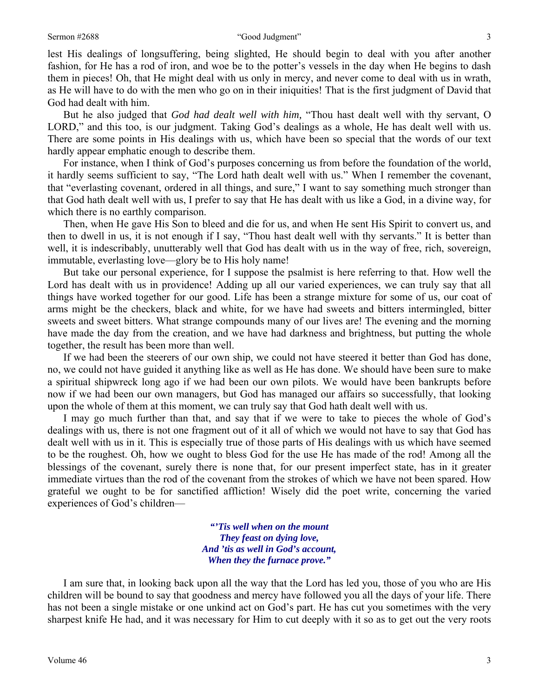#### Sermon #2688 "Good Judgment" 3

lest His dealings of longsuffering, being slighted, He should begin to deal with you after another fashion, for He has a rod of iron, and woe be to the potter's vessels in the day when He begins to dash them in pieces! Oh, that He might deal with us only in mercy, and never come to deal with us in wrath, as He will have to do with the men who go on in their iniquities! That is the first judgment of David that God had dealt with him.

But he also judged that *God had dealt well with him,* "Thou hast dealt well with thy servant, O LORD," and this too, is our judgment. Taking God's dealings as a whole, He has dealt well with us. There are some points in His dealings with us, which have been so special that the words of our text hardly appear emphatic enough to describe them.

For instance, when I think of God's purposes concerning us from before the foundation of the world, it hardly seems sufficient to say, "The Lord hath dealt well with us." When I remember the covenant, that "everlasting covenant, ordered in all things, and sure," I want to say something much stronger than that God hath dealt well with us, I prefer to say that He has dealt with us like a God, in a divine way, for which there is no earthly comparison.

Then, when He gave His Son to bleed and die for us, and when He sent His Spirit to convert us, and then to dwell in us, it is not enough if I say, "Thou hast dealt well with thy servants." It is better than well, it is indescribably, unutterably well that God has dealt with us in the way of free, rich, sovereign, immutable, everlasting love—glory be to His holy name!

But take our personal experience, for I suppose the psalmist is here referring to that. How well the Lord has dealt with us in providence! Adding up all our varied experiences, we can truly say that all things have worked together for our good. Life has been a strange mixture for some of us, our coat of arms might be the checkers, black and white, for we have had sweets and bitters intermingled, bitter sweets and sweet bitters. What strange compounds many of our lives are! The evening and the morning have made the day from the creation, and we have had darkness and brightness, but putting the whole together, the result has been more than well.

If we had been the steerers of our own ship, we could not have steered it better than God has done, no, we could not have guided it anything like as well as He has done. We should have been sure to make a spiritual shipwreck long ago if we had been our own pilots. We would have been bankrupts before now if we had been our own managers, but God has managed our affairs so successfully, that looking upon the whole of them at this moment, we can truly say that God hath dealt well with us.

I may go much further than that, and say that if we were to take to pieces the whole of God's dealings with us, there is not one fragment out of it all of which we would not have to say that God has dealt well with us in it. This is especially true of those parts of His dealings with us which have seemed to be the roughest. Oh, how we ought to bless God for the use He has made of the rod! Among all the blessings of the covenant, surely there is none that, for our present imperfect state, has in it greater immediate virtues than the rod of the covenant from the strokes of which we have not been spared. How grateful we ought to be for sanctified affliction! Wisely did the poet write, concerning the varied experiences of God's children—

> *"'Tis well when on the mount They feast on dying love, And 'tis as well in God's account, When they the furnace prove."*

I am sure that, in looking back upon all the way that the Lord has led you, those of you who are His children will be bound to say that goodness and mercy have followed you all the days of your life. There has not been a single mistake or one unkind act on God's part. He has cut you sometimes with the very sharpest knife He had, and it was necessary for Him to cut deeply with it so as to get out the very roots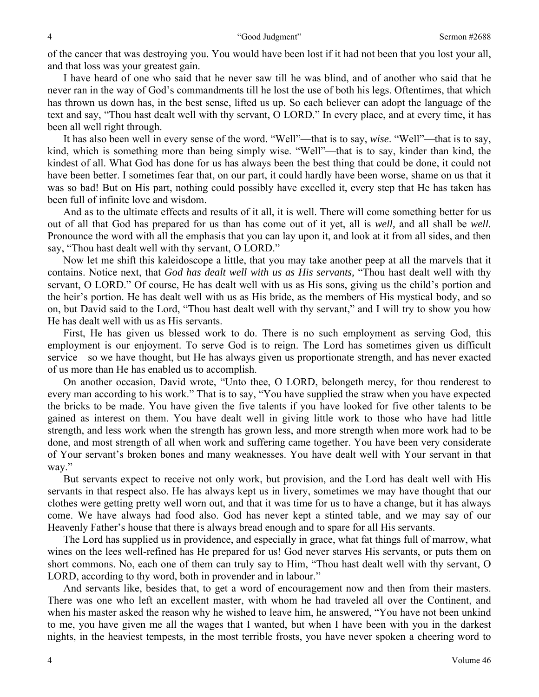of the cancer that was destroying you. You would have been lost if it had not been that you lost your all, and that loss was your greatest gain.

I have heard of one who said that he never saw till he was blind, and of another who said that he never ran in the way of God's commandments till he lost the use of both his legs. Oftentimes, that which has thrown us down has, in the best sense, lifted us up. So each believer can adopt the language of the text and say, "Thou hast dealt well with thy servant, O LORD." In every place, and at every time, it has been all well right through.

It has also been well in every sense of the word. "Well"—that is to say, *wise*. "Well"—that is to say, kind, which is something more than being simply wise. "Well"—that is to say, kinder than kind, the kindest of all. What God has done for us has always been the best thing that could be done, it could not have been better. I sometimes fear that, on our part, it could hardly have been worse, shame on us that it was so bad! But on His part, nothing could possibly have excelled it, every step that He has taken has been full of infinite love and wisdom.

And as to the ultimate effects and results of it all, it is well. There will come something better for us out of all that God has prepared for us than has come out of it yet, all is *well,* and all shall be *well.*  Pronounce the word with all the emphasis that you can lay upon it, and look at it from all sides, and then say, "Thou hast dealt well with thy servant, O LORD."

Now let me shift this kaleidoscope a little, that you may take another peep at all the marvels that it contains. Notice next, that *God has dealt well with us as His servants,* "Thou hast dealt well with thy servant, O LORD." Of course, He has dealt well with us as His sons, giving us the child's portion and the heir's portion. He has dealt well with us as His bride, as the members of His mystical body, and so on, but David said to the Lord, "Thou hast dealt well with thy servant," and I will try to show you how He has dealt well with us as His servants.

First, He has given us blessed work to do. There is no such employment as serving God, this employment is our enjoyment. To serve God is to reign. The Lord has sometimes given us difficult service—so we have thought, but He has always given us proportionate strength, and has never exacted of us more than He has enabled us to accomplish.

On another occasion, David wrote, "Unto thee, O LORD, belongeth mercy, for thou renderest to every man according to his work." That is to say, "You have supplied the straw when you have expected the bricks to be made. You have given the five talents if you have looked for five other talents to be gained as interest on them. You have dealt well in giving little work to those who have had little strength, and less work when the strength has grown less, and more strength when more work had to be done, and most strength of all when work and suffering came together. You have been very considerate of Your servant's broken bones and many weaknesses. You have dealt well with Your servant in that way."

But servants expect to receive not only work, but provision, and the Lord has dealt well with His servants in that respect also. He has always kept us in livery, sometimes we may have thought that our clothes were getting pretty well worn out, and that it was time for us to have a change, but it has always come. We have always had food also. God has never kept a stinted table, and we may say of our Heavenly Father's house that there is always bread enough and to spare for all His servants.

The Lord has supplied us in providence, and especially in grace, what fat things full of marrow, what wines on the lees well-refined has He prepared for us! God never starves His servants, or puts them on short commons. No, each one of them can truly say to Him, "Thou hast dealt well with thy servant, O LORD, according to thy word, both in provender and in labour."

And servants like, besides that, to get a word of encouragement now and then from their masters. There was one who left an excellent master, with whom he had traveled all over the Continent, and when his master asked the reason why he wished to leave him, he answered, "You have not been unkind to me, you have given me all the wages that I wanted, but when I have been with you in the darkest nights, in the heaviest tempests, in the most terrible frosts, you have never spoken a cheering word to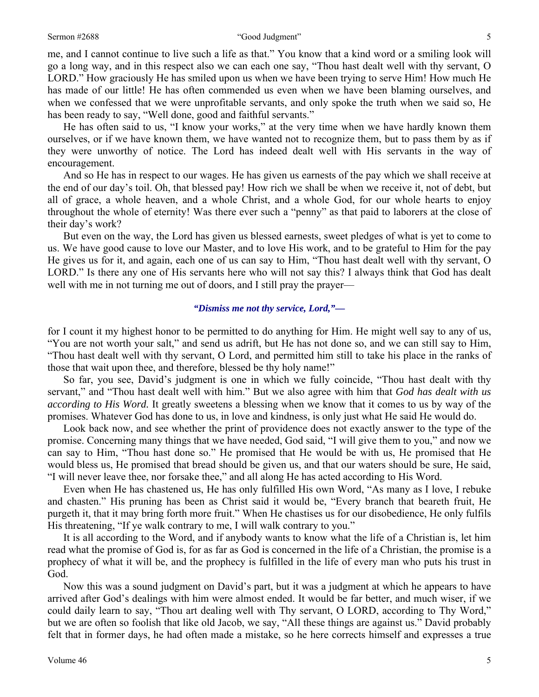me, and I cannot continue to live such a life as that." You know that a kind word or a smiling look will go a long way, and in this respect also we can each one say, "Thou hast dealt well with thy servant, O LORD." How graciously He has smiled upon us when we have been trying to serve Him! How much He has made of our little! He has often commended us even when we have been blaming ourselves, and when we confessed that we were unprofitable servants, and only spoke the truth when we said so, He has been ready to say, "Well done, good and faithful servants."

He has often said to us, "I know your works," at the very time when we have hardly known them ourselves, or if we have known them, we have wanted not to recognize them, but to pass them by as if they were unworthy of notice. The Lord has indeed dealt well with His servants in the way of encouragement.

And so He has in respect to our wages. He has given us earnests of the pay which we shall receive at the end of our day's toil. Oh, that blessed pay! How rich we shall be when we receive it, not of debt, but all of grace, a whole heaven, and a whole Christ, and a whole God, for our whole hearts to enjoy throughout the whole of eternity! Was there ever such a "penny" as that paid to laborers at the close of their day's work?

But even on the way, the Lord has given us blessed earnests, sweet pledges of what is yet to come to us. We have good cause to love our Master, and to love His work, and to be grateful to Him for the pay He gives us for it, and again, each one of us can say to Him, "Thou hast dealt well with thy servant, O LORD." Is there any one of His servants here who will not say this? I always think that God has dealt well with me in not turning me out of doors, and I still pray the prayer—

#### *"Dismiss me not thy service, Lord,"—*

for I count it my highest honor to be permitted to do anything for Him. He might well say to any of us, "You are not worth your salt," and send us adrift, but He has not done so, and we can still say to Him, "Thou hast dealt well with thy servant, O Lord, and permitted him still to take his place in the ranks of those that wait upon thee, and therefore, blessed be thy holy name!"

So far, you see, David's judgment is one in which we fully coincide, "Thou hast dealt with thy servant," and "Thou hast dealt well with him." But we also agree with him that *God has dealt with us according to His Word.* It greatly sweetens a blessing when we know that it comes to us by way of the promises. Whatever God has done to us, in love and kindness, is only just what He said He would do.

Look back now, and see whether the print of providence does not exactly answer to the type of the promise. Concerning many things that we have needed, God said, "I will give them to you," and now we can say to Him, "Thou hast done so." He promised that He would be with us, He promised that He would bless us, He promised that bread should be given us, and that our waters should be sure, He said, "I will never leave thee, nor forsake thee," and all along He has acted according to His Word.

Even when He has chastened us, He has only fulfilled His own Word, "As many as I love, I rebuke and chasten." His pruning has been as Christ said it would be, "Every branch that beareth fruit, He purgeth it, that it may bring forth more fruit." When He chastises us for our disobedience, He only fulfils His threatening, "If ye walk contrary to me, I will walk contrary to you."

It is all according to the Word, and if anybody wants to know what the life of a Christian is, let him read what the promise of God is, for as far as God is concerned in the life of a Christian, the promise is a prophecy of what it will be, and the prophecy is fulfilled in the life of every man who puts his trust in God.

Now this was a sound judgment on David's part, but it was a judgment at which he appears to have arrived after God's dealings with him were almost ended. It would be far better, and much wiser, if we could daily learn to say, "Thou art dealing well with Thy servant, O LORD, according to Thy Word," but we are often so foolish that like old Jacob, we say, "All these things are against us." David probably felt that in former days, he had often made a mistake, so he here corrects himself and expresses a true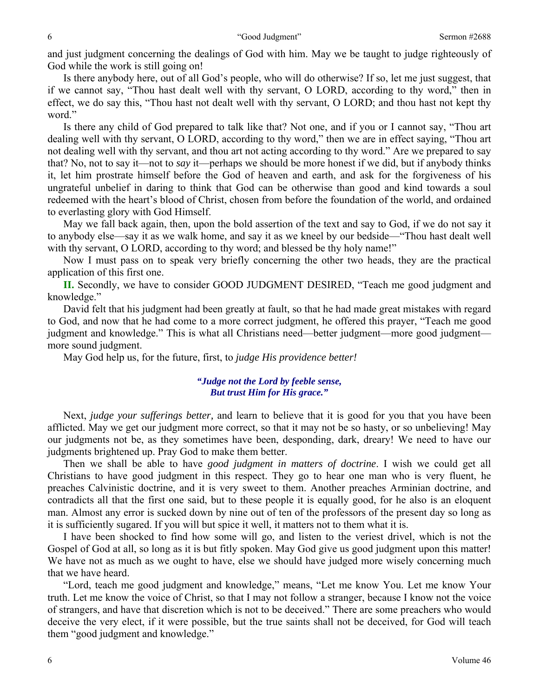and just judgment concerning the dealings of God with him. May we be taught to judge righteously of God while the work is still going on!

Is there anybody here, out of all God's people, who will do otherwise? If so, let me just suggest, that if we cannot say, "Thou hast dealt well with thy servant, O LORD, according to thy word," then in effect, we do say this, "Thou hast not dealt well with thy servant, O LORD; and thou hast not kept thy word."

Is there any child of God prepared to talk like that? Not one, and if you or I cannot say, "Thou art dealing well with thy servant, O LORD, according to thy word," then we are in effect saying, "Thou art not dealing well with thy servant, and thou art not acting according to thy word." Are we prepared to say that? No, not to say it—not to *say* it—perhaps we should be more honest if we did, but if anybody thinks it, let him prostrate himself before the God of heaven and earth, and ask for the forgiveness of his ungrateful unbelief in daring to think that God can be otherwise than good and kind towards a soul redeemed with the heart's blood of Christ, chosen from before the foundation of the world, and ordained to everlasting glory with God Himself.

May we fall back again, then, upon the bold assertion of the text and say to God, if we do not say it to anybody else—say it as we walk home, and say it as we kneel by our bedside—"Thou hast dealt well with thy servant, O LORD, according to thy word; and blessed be thy holy name!"

Now I must pass on to speak very briefly concerning the other two heads, they are the practical application of this first one.

**II.** Secondly, we have to consider GOOD JUDGMENT DESIRED, "Teach me good judgment and knowledge."

David felt that his judgment had been greatly at fault, so that he had made great mistakes with regard to God, and now that he had come to a more correct judgment, he offered this prayer, "Teach me good judgment and knowledge." This is what all Christians need—better judgment—more good judgment more sound judgment.

May God help us, for the future, first, to *judge His providence better!* 

# *"Judge not the Lord by feeble sense, But trust Him for His grace."*

Next, *judge your sufferings better,* and learn to believe that it is good for you that you have been afflicted. May we get our judgment more correct, so that it may not be so hasty, or so unbelieving! May our judgments not be, as they sometimes have been, desponding, dark, dreary! We need to have our judgments brightened up. Pray God to make them better.

Then we shall be able to have *good judgment in matters of doctrine*. I wish we could get all Christians to have good judgment in this respect. They go to hear one man who is very fluent, he preaches Calvinistic doctrine, and it is very sweet to them. Another preaches Arminian doctrine, and contradicts all that the first one said, but to these people it is equally good, for he also is an eloquent man. Almost any error is sucked down by nine out of ten of the professors of the present day so long as it is sufficiently sugared. If you will but spice it well, it matters not to them what it is.

I have been shocked to find how some will go, and listen to the veriest drivel, which is not the Gospel of God at all, so long as it is but fitly spoken. May God give us good judgment upon this matter! We have not as much as we ought to have, else we should have judged more wisely concerning much that we have heard.

"Lord, teach me good judgment and knowledge," means, "Let me know You. Let me know Your truth. Let me know the voice of Christ, so that I may not follow a stranger, because I know not the voice of strangers, and have that discretion which is not to be deceived." There are some preachers who would deceive the very elect, if it were possible, but the true saints shall not be deceived, for God will teach them "good judgment and knowledge."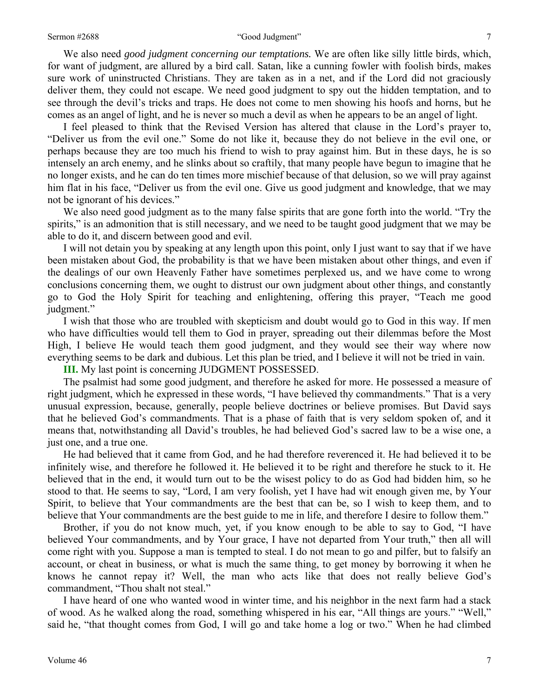#### Sermon #2688 **The Coolumber of Coolumber 1** and Coolumber 1 and Coolumber 1 and T

We also need *good judgment concerning our temptations.* We are often like silly little birds, which, for want of judgment, are allured by a bird call. Satan, like a cunning fowler with foolish birds, makes sure work of uninstructed Christians. They are taken as in a net, and if the Lord did not graciously deliver them, they could not escape. We need good judgment to spy out the hidden temptation, and to see through the devil's tricks and traps. He does not come to men showing his hoofs and horns, but he comes as an angel of light, and he is never so much a devil as when he appears to be an angel of light.

I feel pleased to think that the Revised Version has altered that clause in the Lord's prayer to, "Deliver us from the evil one." Some do not like it, because they do not believe in the evil one, or perhaps because they are too much his friend to wish to pray against him. But in these days, he is so intensely an arch enemy, and he slinks about so craftily, that many people have begun to imagine that he no longer exists, and he can do ten times more mischief because of that delusion, so we will pray against him flat in his face, "Deliver us from the evil one. Give us good judgment and knowledge, that we may not be ignorant of his devices."

We also need good judgment as to the many false spirits that are gone forth into the world. "Try the spirits," is an admonition that is still necessary, and we need to be taught good judgment that we may be able to do it, and discern between good and evil.

I will not detain you by speaking at any length upon this point, only I just want to say that if we have been mistaken about God, the probability is that we have been mistaken about other things, and even if the dealings of our own Heavenly Father have sometimes perplexed us, and we have come to wrong conclusions concerning them, we ought to distrust our own judgment about other things, and constantly go to God the Holy Spirit for teaching and enlightening, offering this prayer, "Teach me good judgment."

I wish that those who are troubled with skepticism and doubt would go to God in this way. If men who have difficulties would tell them to God in prayer, spreading out their dilemmas before the Most High, I believe He would teach them good judgment, and they would see their way where now everything seems to be dark and dubious. Let this plan be tried, and I believe it will not be tried in vain.

**III.** My last point is concerning JUDGMENT POSSESSED.

The psalmist had some good judgment, and therefore he asked for more. He possessed a measure of right judgment, which he expressed in these words, "I have believed thy commandments." That is a very unusual expression, because, generally, people believe doctrines or believe promises. But David says that he believed God's commandments. That is a phase of faith that is very seldom spoken of, and it means that, notwithstanding all David's troubles, he had believed God's sacred law to be a wise one, a just one, and a true one.

He had believed that it came from God, and he had therefore reverenced it. He had believed it to be infinitely wise, and therefore he followed it. He believed it to be right and therefore he stuck to it. He believed that in the end, it would turn out to be the wisest policy to do as God had bidden him, so he stood to that. He seems to say, "Lord, I am very foolish, yet I have had wit enough given me, by Your Spirit, to believe that Your commandments are the best that can be, so I wish to keep them, and to believe that Your commandments are the best guide to me in life, and therefore I desire to follow them."

Brother, if you do not know much, yet, if you know enough to be able to say to God, "I have believed Your commandments, and by Your grace, I have not departed from Your truth," then all will come right with you. Suppose a man is tempted to steal. I do not mean to go and pilfer, but to falsify an account, or cheat in business, or what is much the same thing, to get money by borrowing it when he knows he cannot repay it? Well, the man who acts like that does not really believe God's commandment, "Thou shalt not steal."

I have heard of one who wanted wood in winter time, and his neighbor in the next farm had a stack of wood. As he walked along the road, something whispered in his ear, "All things are yours." "Well," said he, "that thought comes from God, I will go and take home a log or two." When he had climbed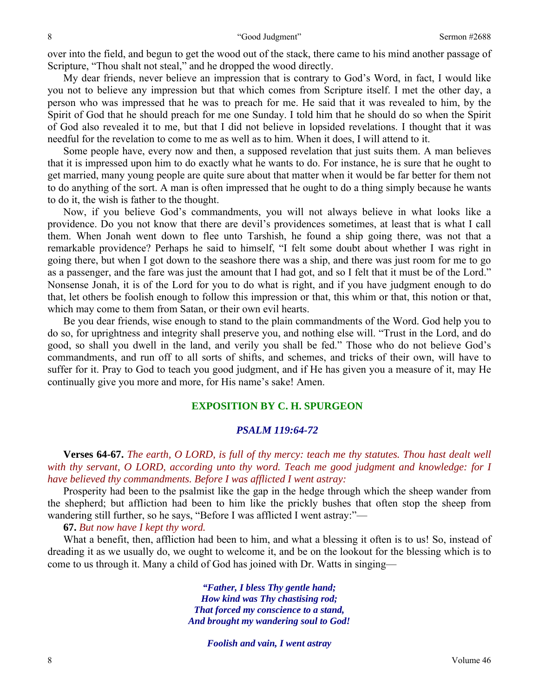over into the field, and begun to get the wood out of the stack, there came to his mind another passage of Scripture, "Thou shalt not steal," and he dropped the wood directly.

My dear friends, never believe an impression that is contrary to God's Word, in fact, I would like you not to believe any impression but that which comes from Scripture itself. I met the other day, a person who was impressed that he was to preach for me. He said that it was revealed to him, by the Spirit of God that he should preach for me one Sunday. I told him that he should do so when the Spirit of God also revealed it to me, but that I did not believe in lopsided revelations. I thought that it was needful for the revelation to come to me as well as to him. When it does, I will attend to it.

Some people have, every now and then, a supposed revelation that just suits them. A man believes that it is impressed upon him to do exactly what he wants to do. For instance, he is sure that he ought to get married, many young people are quite sure about that matter when it would be far better for them not to do anything of the sort. A man is often impressed that he ought to do a thing simply because he wants to do it, the wish is father to the thought.

Now, if you believe God's commandments, you will not always believe in what looks like a providence. Do you not know that there are devil's providences sometimes, at least that is what I call them. When Jonah went down to flee unto Tarshish, he found a ship going there, was not that a remarkable providence? Perhaps he said to himself, "I felt some doubt about whether I was right in going there, but when I got down to the seashore there was a ship, and there was just room for me to go as a passenger, and the fare was just the amount that I had got, and so I felt that it must be of the Lord." Nonsense Jonah, it is of the Lord for you to do what is right, and if you have judgment enough to do that, let others be foolish enough to follow this impression or that, this whim or that, this notion or that, which may come to them from Satan, or their own evil hearts.

Be you dear friends, wise enough to stand to the plain commandments of the Word. God help you to do so, for uprightness and integrity shall preserve you, and nothing else will. "Trust in the Lord, and do good, so shall you dwell in the land, and verily you shall be fed." Those who do not believe God's commandments, and run off to all sorts of shifts, and schemes, and tricks of their own, will have to suffer for it. Pray to God to teach you good judgment, and if He has given you a measure of it, may He continually give you more and more, for His name's sake! Amen.

# **EXPOSITION BY C. H. SPURGEON**

# *PSALM 119:64-72*

**Verses 64-67.** *The earth, O LORD, is full of thy mercy: teach me thy statutes. Thou hast dealt well with thy servant, O LORD, according unto thy word. Teach me good judgment and knowledge: for I have believed thy commandments. Before I was afflicted I went astray:* 

Prosperity had been to the psalmist like the gap in the hedge through which the sheep wander from the shepherd; but affliction had been to him like the prickly bushes that often stop the sheep from wandering still further, so he says, "Before I was afflicted I went astray:"—

#### **67.** *But now have I kept thy word.*

What a benefit, then, affliction had been to him, and what a blessing it often is to us! So, instead of dreading it as we usually do, we ought to welcome it, and be on the lookout for the blessing which is to come to us through it. Many a child of God has joined with Dr. Watts in singing—

> *"Father, I bless Thy gentle hand; How kind was Thy chastising rod; That forced my conscience to a stand, And brought my wandering soul to God!*

> > *Foolish and vain, I went astray*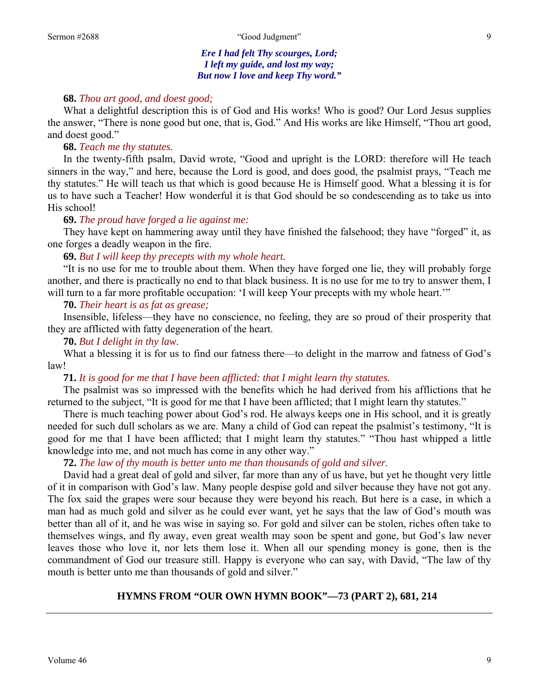*Ere I had felt Thy scourges, Lord; I left my guide, and lost my way; But now I love and keep Thy word."* 

### **68.** *Thou art good, and doest good;*

What a delightful description this is of God and His works! Who is good? Our Lord Jesus supplies the answer, "There is none good but one, that is, God." And His works are like Himself, "Thou art good, and doest good."

# **68.** *Teach me thy statutes.*

In the twenty-fifth psalm, David wrote, "Good and upright is the LORD: therefore will He teach sinners in the way," and here, because the Lord is good, and does good, the psalmist prays, "Teach me thy statutes." He will teach us that which is good because He is Himself good. What a blessing it is for us to have such a Teacher! How wonderful it is that God should be so condescending as to take us into His school!

# **69.** *The proud have forged a lie against me:*

They have kept on hammering away until they have finished the falsehood; they have "forged" it, as one forges a deadly weapon in the fire.

# **69.** *But I will keep thy precepts with my whole heart.*

"It is no use for me to trouble about them. When they have forged one lie, they will probably forge another, and there is practically no end to that black business. It is no use for me to try to answer them, I will turn to a far more profitable occupation: 'I will keep Your precepts with my whole heart.'"

## **70.** *Their heart is as fat as grease;*

Insensible, lifeless—they have no conscience, no feeling, they are so proud of their prosperity that they are afflicted with fatty degeneration of the heart.

#### **70.** *But I delight in thy law.*

What a blessing it is for us to find our fatness there—to delight in the marrow and fatness of God's law!

# **71.** *It is good for me that I have been afflicted: that I might learn thy statutes.*

The psalmist was so impressed with the benefits which he had derived from his afflictions that he returned to the subject, "It is good for me that I have been afflicted; that I might learn thy statutes."

There is much teaching power about God's rod. He always keeps one in His school, and it is greatly needed for such dull scholars as we are. Many a child of God can repeat the psalmist's testimony, "It is good for me that I have been afflicted; that I might learn thy statutes." "Thou hast whipped a little knowledge into me, and not much has come in any other way."

# **72.** *The law of thy mouth is better unto me than thousands of gold and silver.*

David had a great deal of gold and silver, far more than any of us have, but yet he thought very little of it in comparison with God's law. Many people despise gold and silver because they have not got any. The fox said the grapes were sour because they were beyond his reach. But here is a case, in which a man had as much gold and silver as he could ever want, yet he says that the law of God's mouth was better than all of it, and he was wise in saying so. For gold and silver can be stolen, riches often take to themselves wings, and fly away, even great wealth may soon be spent and gone, but God's law never leaves those who love it, nor lets them lose it. When all our spending money is gone, then is the commandment of God our treasure still. Happy is everyone who can say, with David, "The law of thy mouth is better unto me than thousands of gold and silver."

# **HYMNS FROM "OUR OWN HYMN BOOK"—73 (PART 2), 681, 214**